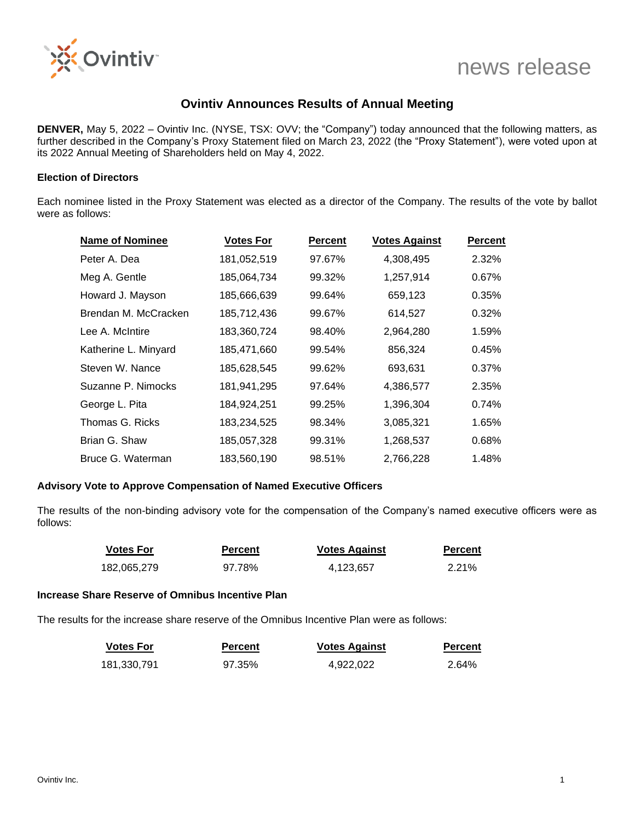

# news release

# **Ovintiv Announces Results of Annual Meeting**

**DENVER,** May 5, 2022 – Ovintiv Inc. (NYSE, TSX: OVV; the "Company") today announced that the following matters, as further described in the Company's Proxy Statement filed on March 23, 2022 (the "Proxy Statement"), were voted upon at its 2022 Annual Meeting of Shareholders held on May 4, 2022.

### **Election of Directors**

Each nominee listed in the Proxy Statement was elected as a director of the Company. The results of the vote by ballot were as follows:

| <b>Name of Nominee</b> | <b>Votes For</b> | <b>Percent</b> | <b>Votes Against</b> | <b>Percent</b> |
|------------------------|------------------|----------------|----------------------|----------------|
| Peter A. Dea           | 181,052,519      | 97.67%         | 4,308,495            | 2.32%          |
| Meg A. Gentle          | 185,064,734      | 99.32%         | 1,257,914            | 0.67%          |
| Howard J. Mayson       | 185,666,639      | 99.64%         | 659,123              | 0.35%          |
| Brendan M. McCracken   | 185,712,436      | 99.67%         | 614,527              | 0.32%          |
| Lee A. McIntire        | 183,360,724      | 98.40%         | 2,964,280            | 1.59%          |
| Katherine L. Minyard   | 185,471,660      | 99.54%         | 856,324              | 0.45%          |
| Steven W. Nance        | 185,628,545      | 99.62%         | 693,631              | 0.37%          |
| Suzanne P. Nimocks     | 181,941,295      | 97.64%         | 4,386,577            | 2.35%          |
| George L. Pita         | 184,924,251      | 99.25%         | 1,396,304            | 0.74%          |
| Thomas G. Ricks        | 183,234,525      | 98.34%         | 3,085,321            | 1.65%          |
| Brian G. Shaw          | 185,057,328      | 99.31%         | 1,268,537            | 0.68%          |
| Bruce G. Waterman      | 183,560,190      | 98.51%         | 2,766,228            | 1.48%          |

#### **Advisory Vote to Approve Compensation of Named Executive Officers**

The results of the non-binding advisory vote for the compensation of the Company's named executive officers were as follows:

| <b>Votes For</b> | <b>Percent</b> | <b>Votes Against</b> | <b>Percent</b> |
|------------------|----------------|----------------------|----------------|
| 182,065,279      | 97.78%         | 4.123.657            | 2.21%          |

#### **Increase Share Reserve of Omnibus Incentive Plan**

The results for the increase share reserve of the Omnibus Incentive Plan were as follows:

| <b>Votes For</b> | <b>Percent</b> | <b>Votes Against</b> | <b>Percent</b> |
|------------------|----------------|----------------------|----------------|
| 181,330,791      | 97.35%         | 4,922,022            | 2.64%          |